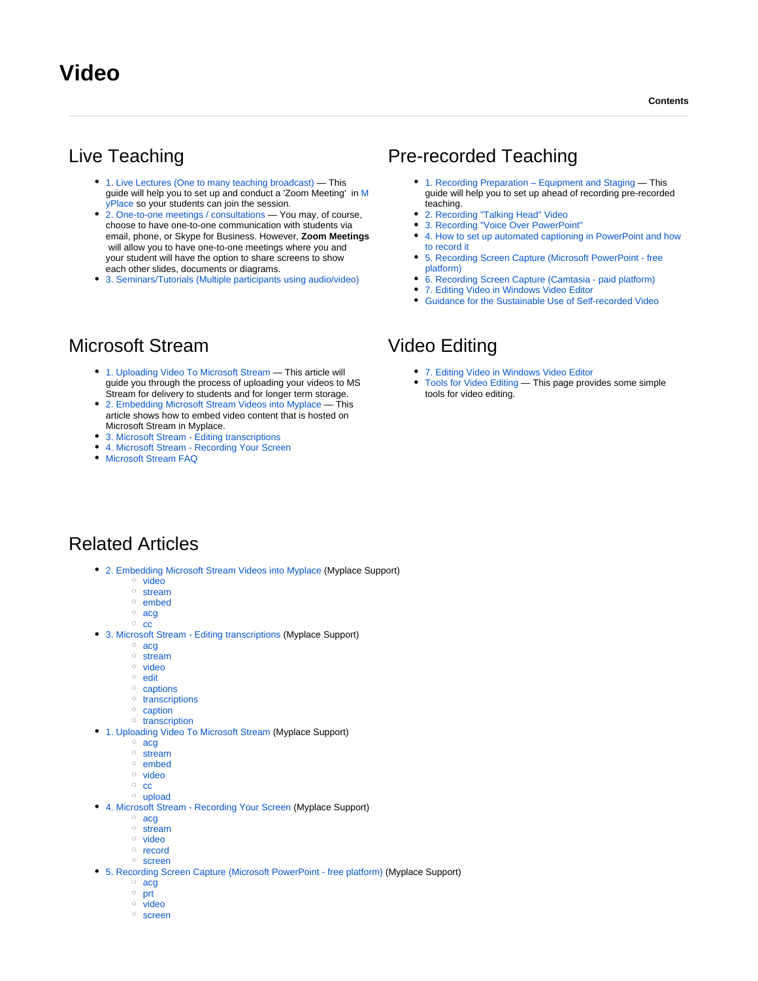# Live Teaching

- [1. Live Lectures \(One to many teaching broadcast\)](https://wiki.lte.strath.ac.uk/pages/viewpage.action?pageId=112820356) This guide will help you to set up and conduct a 'Zoom Meeting' in [M](https://classes.myplace.strath.ac.uk) [yPlace](https://classes.myplace.strath.ac.uk) so your students can join the session.
- [2. One-to-one meetings / consultations](https://wiki.lte.strath.ac.uk/pages/viewpage.action?pageId=112820354) You may, of course, choose to have one-to-one communication with students via email, phone, or Skype for Business. However, **Zoom Meetings** will allow you to have one-to-one meetings where you and your student will have the option to share screens to show each other slides, documents or diagrams.
- [3. Seminars/Tutorials \(Multiple participants using audio/video\)](https://wiki.lte.strath.ac.uk/pages/viewpage.action?pageId=112820355)

## Microsoft Stream

- [1. Uploading Video To Microsoft Stream](https://wiki.lte.strath.ac.uk/display/MS/1.+Uploading+Video+To+Microsoft+Stream) This article will guide you through the process of uploading your videos to MS Stream for delivery to students and for longer term storage.
- [2. Embedding Microsoft Stream Videos into Myplace](https://wiki.lte.strath.ac.uk/display/MS/2.+Embedding+Microsoft+Stream+Videos+into+Myplace) This article shows how to embed video content that is hosted on Microsoft Stream in Myplace.
- [3. Microsoft Stream Editing transcriptions](https://wiki.lte.strath.ac.uk/display/MS/3.+Microsoft+Stream+-+Editing+transcriptions)
- [4. Microsoft Stream Recording Your Screen](https://wiki.lte.strath.ac.uk/display/MS/4.+Microsoft+Stream+-+Recording+Your+Screen)
- [Microsoft Stream FAQ](https://wiki.lte.strath.ac.uk/display/MS/Microsoft+Stream+FAQ)

### Pre-recorded Teaching

- [1. Recording Preparation Equipment and Staging](https://wiki.lte.strath.ac.uk/pages/viewpage.action?pageId=112820345) This guide will help you to set up ahead of recording pre-recorded teaching.
- [2. Recording "Talking Head" Video](https://wiki.lte.strath.ac.uk/pages/viewpage.action?pageId=113377362)
- [3. Recording "Voice Over PowerPoint"](https://wiki.lte.strath.ac.uk/pages/viewpage.action?pageId=113377381)
- [4. How to set up automated captioning in PowerPoint and how](https://wiki.lte.strath.ac.uk/display/MS/4.+How+to+set+up+automated+captioning+in+PowerPoint+and+how+to+record+it)  [to record it](https://wiki.lte.strath.ac.uk/display/MS/4.+How+to+set+up+automated+captioning+in+PowerPoint+and+how+to+record+it)
- [5. Recording Screen Capture \(Microsoft PowerPoint free](https://wiki.lte.strath.ac.uk/pages/viewpage.action?pageId=157024274)  [platform\)](https://wiki.lte.strath.ac.uk/pages/viewpage.action?pageId=157024274)
- [6. Recording Screen Capture \(Camtasia paid platform\)](https://wiki.lte.strath.ac.uk/pages/viewpage.action?pageId=113377396)
- [7. Editing Video in Windows Video Editor](https://wiki.lte.strath.ac.uk/display/MS/7.+Editing+Video+in+Windows+Video+Editor)
- [Guidance for the Sustainable Use of Self-recorded Video](https://wiki.lte.strath.ac.uk/display/MS/Guidance+for+the+Sustainable+Use+of+Self-recorded+Video)

## Video Editing

- [7. Editing Video in Windows Video Editor](https://wiki.lte.strath.ac.uk/display/MS/7.+Editing+Video+in+Windows+Video+Editor)
- [Tools for Video Editing](https://wiki.lte.strath.ac.uk/display/MS/Tools+for+Video+Editing) This page provides some simple tools for video editing.

#### Related Articles

- [2. Embedding Microsoft Stream Videos into Myplace](https://wiki.lte.strath.ac.uk/display/MS/2.+Embedding+Microsoft+Stream+Videos+into+Myplace) (Myplace Support)
	- <sup>o</sup> [video](https://wiki.lte.strath.ac.uk/label/video)
	- <sup>o</sup> [stream](https://wiki.lte.strath.ac.uk/label/stream)
	- <sup>o</sup> [embed](https://wiki.lte.strath.ac.uk/label/embed)
	- [acg](https://wiki.lte.strath.ac.uk/label/acg)  $\circ$  [cc](https://wiki.lte.strath.ac.uk/label/cc)
	-
- [3. Microsoft Stream Editing transcriptions](https://wiki.lte.strath.ac.uk/display/MS/3.+Microsoft+Stream+-+Editing+transcriptions) (Myplace Support)
	- [acg](https://wiki.lte.strath.ac.uk/label/acg) <sup>o</sup> [stream](https://wiki.lte.strath.ac.uk/label/stream)
	- <sup>o</sup> [video](https://wiki.lte.strath.ac.uk/label/video)
	- <sup>o</sup> [edit](https://wiki.lte.strath.ac.uk/label/edit)
	- <sup>o</sup> [captions](https://wiki.lte.strath.ac.uk/label/captions)
	- <sup>o</sup> [transcriptions](https://wiki.lte.strath.ac.uk/label/transcriptions)
	- <sup>o</sup> [caption](https://wiki.lte.strath.ac.uk/label/caption)
	- <sup>o</sup> [transcription](https://wiki.lte.strath.ac.uk/label/transcription)
- [1. Uploading Video To Microsoft Stream](https://wiki.lte.strath.ac.uk/display/MS/1.+Uploading+Video+To+Microsoft+Stream) (Myplace Support)
	- [acg](https://wiki.lte.strath.ac.uk/label/acg)
	- <sup>o</sup> [stream](https://wiki.lte.strath.ac.uk/label/stream)
	- <sup>o</sup> [embed](https://wiki.lte.strath.ac.uk/label/embed) <sup>o</sup> [video](https://wiki.lte.strath.ac.uk/label/video)
	- $\circ$  [cc](https://wiki.lte.strath.ac.uk/label/cc)
	- [upload](https://wiki.lte.strath.ac.uk/label/upload)
- [4. Microsoft Stream Recording Your Screen](https://wiki.lte.strath.ac.uk/display/MS/4.+Microsoft+Stream+-+Recording+Your+Screen) (Myplace Support)
	- [acg](https://wiki.lte.strath.ac.uk/label/acg)
	- o [stream](https://wiki.lte.strath.ac.uk/label/stream)
	- <sup>o</sup> [video](https://wiki.lte.strath.ac.uk/label/video) o [record](https://wiki.lte.strath.ac.uk/label/record)
	- o [screen](https://wiki.lte.strath.ac.uk/label/screen)
- [5. Recording Screen Capture \(Microsoft PowerPoint free platform\)](https://wiki.lte.strath.ac.uk/pages/viewpage.action?pageId=157024274) (Myplace Support)
	- [acg](https://wiki.lte.strath.ac.uk/label/acg)
	- $\circ$  [prt](https://wiki.lte.strath.ac.uk/label/prt)
	- $\circ$  [video](https://wiki.lte.strath.ac.uk/label/video)
	- o [screen](https://wiki.lte.strath.ac.uk/label/screen)